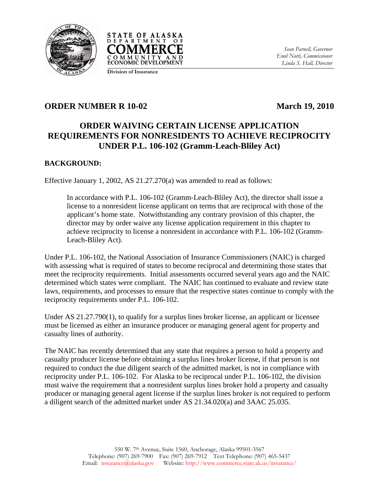



*Sean Parnell, Governor Emil Notti, Commissioner Linda S. Hall, Director* 

# **Division of Insurance**

### **ORDER NUMBER R 10-02** March 19, 2010

# **ORDER WAIVING CERTAIN LICENSE APPLICATION REQUIREMENTS FOR NONRESIDENTS TO ACHIEVE RECIPROCITY UNDER P.L. 106-102 (Gramm-Leach-Bliley Act)**

#### **BACKGROUND:**

Effective January 1, 2002, AS 21.27.270(a) was amended to read as follows:

In accordance with P.L. 106-102 (Gramm-Leach-Bliley Act), the director shall issue a license to a nonresident license applicant on terms that are reciprocal with those of the applicant's home state. Notwithstanding any contrary provision of this chapter, the director may by order waive any license application requirement in this chapter to achieve reciprocity to license a nonresident in accordance with P.L. 106-102 (Gramm-Leach-Bliley Act).

Under P.L. 106-102, the National Association of Insurance Commissioners (NAIC) is charged with assessing what is required of states to become reciprocal and determining those states that meet the reciprocity requirements. Initial assessments occurred several years ago and the NAIC determined which states were compliant. The NAIC has continued to evaluate and review state laws, requirements, and processes to ensure that the respective states continue to comply with the reciprocity requirements under P.L. 106-102.

Under AS 21.27.790(1), to qualify for a surplus lines broker license, an applicant or licensee must be licensed as either an insurance producer or managing general agent for property and casualty lines of authority.

The NAIC has recently determined that any state that requires a person to hold a property and casualty producer license before obtaining a surplus lines broker license, if that person is not required to conduct the due diligent search of the admitted market, is not in compliance with reciprocity under P.L. 106-102. For Alaska to be reciprocal under P.L. 106-102, the division must waive the requirement that a nonresident surplus lines broker hold a property and casualty producer or managing general agent license if the surplus lines broker is not required to perform a diligent search of the admitted market under AS 21.34.020(a) and 3AAC 25.035.